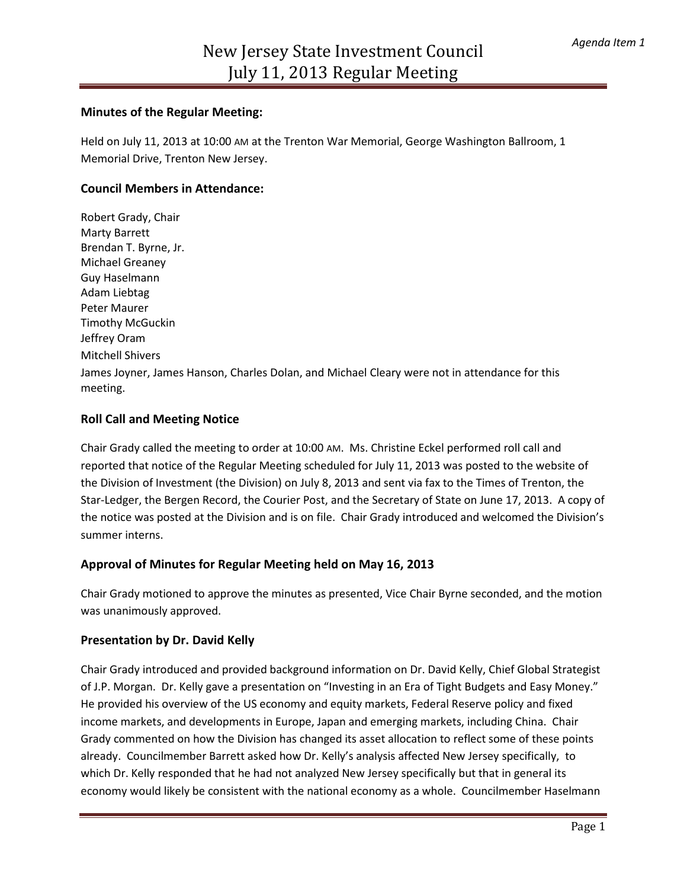### **Minutes of the Regular Meeting:**

Held on July 11, 2013 at 10:00 AM at the Trenton War Memorial, George Washington Ballroom, 1 Memorial Drive, Trenton New Jersey.

### **Council Members in Attendance:**

Robert Grady, Chair Marty Barrett Brendan T. Byrne, Jr. Michael Greaney Guy Haselmann Adam Liebtag Peter Maurer Timothy McGuckin Jeffrey Oram Mitchell Shivers James Joyner, James Hanson, Charles Dolan, and Michael Cleary were not in attendance for this meeting.

### **Roll Call and Meeting Notice**

Chair Grady called the meeting to order at 10:00 AM. Ms. Christine Eckel performed roll call and reported that notice of the Regular Meeting scheduled for July 11, 2013 was posted to the website of the Division of Investment (the Division) on July 8, 2013 and sent via fax to the Times of Trenton, the Star-Ledger, the Bergen Record, the Courier Post, and the Secretary of State on June 17, 2013. A copy of the notice was posted at the Division and is on file. Chair Grady introduced and welcomed the Division's summer interns.

# **Approval of Minutes for Regular Meeting held on May 16, 2013**

Chair Grady motioned to approve the minutes as presented, Vice Chair Byrne seconded, and the motion was unanimously approved.

#### **Presentation by Dr. David Kelly**

Chair Grady introduced and provided background information on Dr. David Kelly, Chief Global Strategist of J.P. Morgan. Dr. Kelly gave a presentation on "Investing in an Era of Tight Budgets and Easy Money." He provided his overview of the US economy and equity markets, Federal Reserve policy and fixed income markets, and developments in Europe, Japan and emerging markets, including China. Chair Grady commented on how the Division has changed its asset allocation to reflect some of these points already. Councilmember Barrett asked how Dr. Kelly's analysis affected New Jersey specifically, to which Dr. Kelly responded that he had not analyzed New Jersey specifically but that in general its economy would likely be consistent with the national economy as a whole. Councilmember Haselmann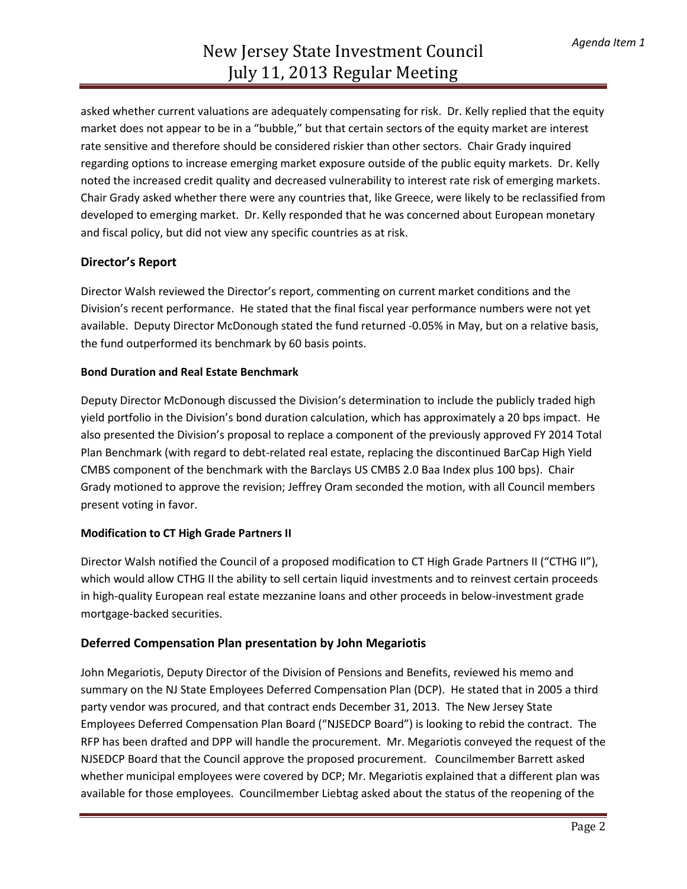asked whether current valuations are adequately compensating for risk. Dr. Kelly replied that the equity market does not appear to be in a "bubble," but that certain sectors of the equity market are interest rate sensitive and therefore should be considered riskier than other sectors. Chair Grady inquired regarding options to increase emerging market exposure outside of the public equity markets. Dr. Kelly noted the increased credit quality and decreased vulnerability to interest rate risk of emerging markets. Chair Grady asked whether there were any countries that, like Greece, were likely to be reclassified from developed to emerging market. Dr. Kelly responded that he was concerned about European monetary and fiscal policy, but did not view any specific countries as at risk.

# **Director's Report**

Director Walsh reviewed the Director's report, commenting on current market conditions and the Division's recent performance. He stated that the final fiscal year performance numbers were not yet available. Deputy Director McDonough stated the fund returned -0.05% in May, but on a relative basis, the fund outperformed its benchmark by 60 basis points.

### **Bond Duration and Real Estate Benchmark**

Deputy Director McDonough discussed the Division's determination to include the publicly traded high yield portfolio in the Division's bond duration calculation, which has approximately a 20 bps impact. He also presented the Division's proposal to replace a component of the previously approved FY 2014 Total Plan Benchmark (with regard to debt-related real estate, replacing the discontinued BarCap High Yield CMBS component of the benchmark with the Barclays US CMBS 2.0 Baa Index plus 100 bps). Chair Grady motioned to approve the revision; Jeffrey Oram seconded the motion, with all Council members present voting in favor.

# **Modification to CT High Grade Partners II**

Director Walsh notified the Council of a proposed modification to CT High Grade Partners II ("CTHG II"), which would allow CTHG II the ability to sell certain liquid investments and to reinvest certain proceeds in high-quality European real estate mezzanine loans and other proceeds in below-investment grade mortgage-backed securities.

# **Deferred Compensation Plan presentation by John Megariotis**

John Megariotis, Deputy Director of the Division of Pensions and Benefits, reviewed his memo and summary on the NJ State Employees Deferred Compensation Plan (DCP). He stated that in 2005 a third party vendor was procured, and that contract ends December 31, 2013. The New Jersey State Employees Deferred Compensation Plan Board ("NJSEDCP Board") is looking to rebid the contract. The RFP has been drafted and DPP will handle the procurement. Mr. Megariotis conveyed the request of the NJSEDCP Board that the Council approve the proposed procurement. Councilmember Barrett asked whether municipal employees were covered by DCP; Mr. Megariotis explained that a different plan was available for those employees. Councilmember Liebtag asked about the status of the reopening of the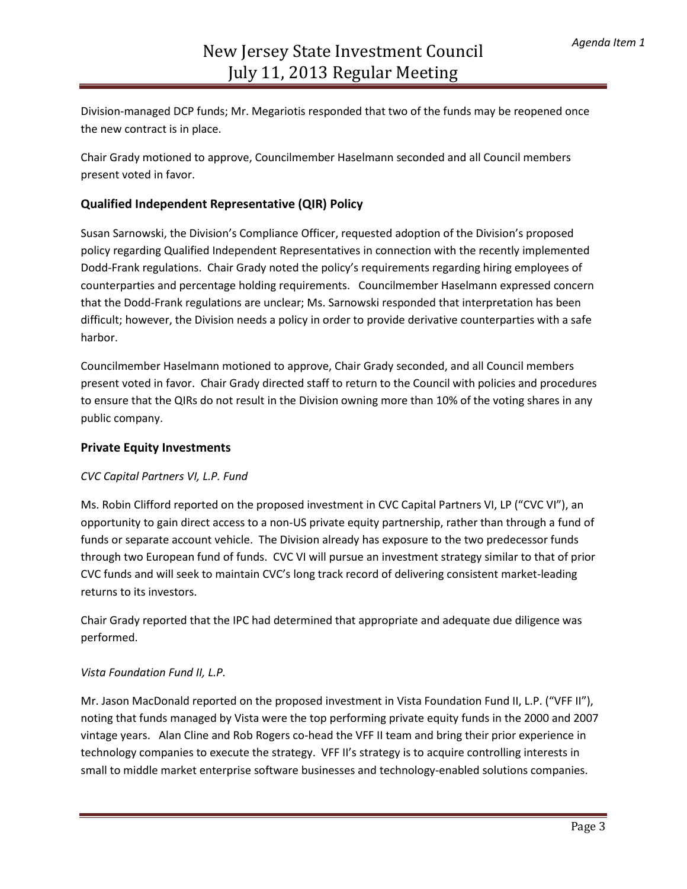Division-managed DCP funds; Mr. Megariotis responded that two of the funds may be reopened once the new contract is in place.

Chair Grady motioned to approve, Councilmember Haselmann seconded and all Council members present voted in favor.

# **Qualified Independent Representative (QIR) Policy**

Susan Sarnowski, the Division's Compliance Officer, requested adoption of the Division's proposed policy regarding Qualified Independent Representatives in connection with the recently implemented Dodd-Frank regulations. Chair Grady noted the policy's requirements regarding hiring employees of counterparties and percentage holding requirements. Councilmember Haselmann expressed concern that the Dodd-Frank regulations are unclear; Ms. Sarnowski responded that interpretation has been difficult; however, the Division needs a policy in order to provide derivative counterparties with a safe harbor.

Councilmember Haselmann motioned to approve, Chair Grady seconded, and all Council members present voted in favor. Chair Grady directed staff to return to the Council with policies and procedures to ensure that the QIRs do not result in the Division owning more than 10% of the voting shares in any public company.

# **Private Equity Investments**

#### *CVC Capital Partners VI, L.P. Fund*

Ms. Robin Clifford reported on the proposed investment in CVC Capital Partners VI, LP ("CVC VI"), an opportunity to gain direct access to a non-US private equity partnership, rather than through a fund of funds or separate account vehicle. The Division already has exposure to the two predecessor funds through two European fund of funds. CVC VI will pursue an investment strategy similar to that of prior CVC funds and will seek to maintain CVC's long track record of delivering consistent market-leading returns to its investors.

Chair Grady reported that the IPC had determined that appropriate and adequate due diligence was performed.

#### *Vista Foundation Fund II, L.P.*

Mr. Jason MacDonald reported on the proposed investment in Vista Foundation Fund II, L.P. ("VFF II"), noting that funds managed by Vista were the top performing private equity funds in the 2000 and 2007 vintage years. Alan Cline and Rob Rogers co-head the VFF II team and bring their prior experience in technology companies to execute the strategy. VFF II's strategy is to acquire controlling interests in small to middle market enterprise software businesses and technology-enabled solutions companies.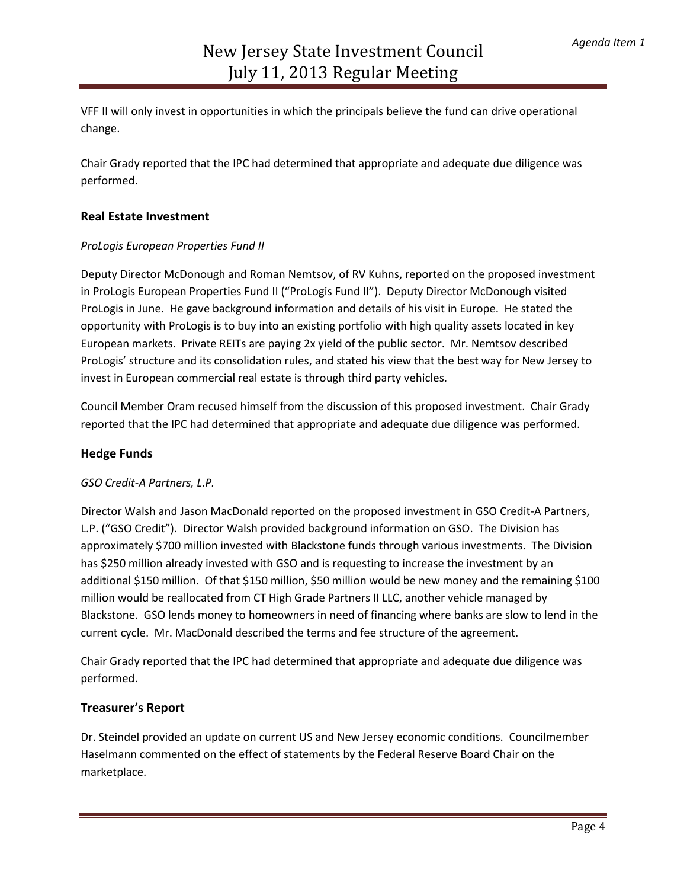VFF II will only invest in opportunities in which the principals believe the fund can drive operational change.

Chair Grady reported that the IPC had determined that appropriate and adequate due diligence was performed.

### **Real Estate Investment**

#### *ProLogis European Properties Fund II*

Deputy Director McDonough and Roman Nemtsov, of RV Kuhns, reported on the proposed investment in ProLogis European Properties Fund II ("ProLogis Fund II"). Deputy Director McDonough visited ProLogis in June. He gave background information and details of his visit in Europe. He stated the opportunity with ProLogis is to buy into an existing portfolio with high quality assets located in key European markets. Private REITs are paying 2x yield of the public sector. Mr. Nemtsov described ProLogis' structure and its consolidation rules, and stated his view that the best way for New Jersey to invest in European commercial real estate is through third party vehicles.

Council Member Oram recused himself from the discussion of this proposed investment. Chair Grady reported that the IPC had determined that appropriate and adequate due diligence was performed.

#### **Hedge Funds**

#### *GSO Credit-A Partners, L.P.*

Director Walsh and Jason MacDonald reported on the proposed investment in GSO Credit-A Partners, L.P. ("GSO Credit"). Director Walsh provided background information on GSO. The Division has approximately \$700 million invested with Blackstone funds through various investments. The Division has \$250 million already invested with GSO and is requesting to increase the investment by an additional \$150 million. Of that \$150 million, \$50 million would be new money and the remaining \$100 million would be reallocated from CT High Grade Partners II LLC, another vehicle managed by Blackstone. GSO lends money to homeowners in need of financing where banks are slow to lend in the current cycle. Mr. MacDonald described the terms and fee structure of the agreement.

Chair Grady reported that the IPC had determined that appropriate and adequate due diligence was performed.

#### **Treasurer's Report**

Dr. Steindel provided an update on current US and New Jersey economic conditions. Councilmember Haselmann commented on the effect of statements by the Federal Reserve Board Chair on the marketplace.